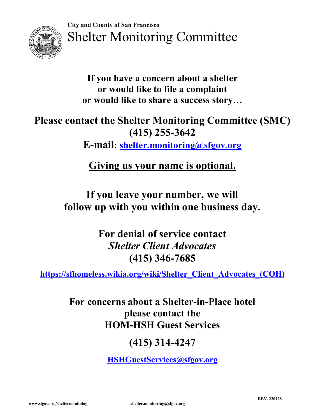City and County of San Francisco<br>Shelter Monitoring Committee City and County of San Francisco<br>Shelter Monitoring Committee



<sup>d County of San Francisco</sup><br>Ilter Monitoring Committee<br>If you have a concern about a shelter<br>or would like to file a complaint<br>r would like to share a success story... or would like to file a complaint and County of San Francisco<br>
elter Monitoring Committee<br>
If you have a concern about a shelter<br>
or would like to file a complaint<br>
or would like to share a success story...<br>
tact the Shelter Monitoring Committee (SMC)<br>
(41

# City and County of San Francisco<br>
Shelter Monitoring Committee<br>
If you have a concern about a shelter<br>
or would like to file a complaint<br>
or would like to share a success story...<br>
Please contact the Shelter Monitoring Com <sup>n Francisco</sup><br>mitoring Committee<br>e a concern about a shelter<br>d like to file a complaint<br>xe to share a success story...<br>elter Monitoring Committee (SMC)<br>(415) 255-3642<br>elter.monitoring@sfgov.org<br>s your name is optional. E-mail: shelter.monitoring@sfgov.org Iter Monitoring Committee<br>
If you have a concern about a shelter<br>
or would like to file a complaint<br>
r would like to share a success story...<br>
ct the Shelter Monitoring Committee (SMC)<br>
(415) 255-3642<br>
:-mail: <u>shelter.mon</u> If you have a concern about a shelter<br>or would like to file a complaint<br>r would like to share a success story...<br>act the Shelter Monitoring Committee (SMC)<br>(415) 255-3642<br>E-mail: <u>shelter.monitoring@sfgov.org</u><br>Giving us yo If you have a concern about a shelter<br>or would like to file a complaint<br>or would like to share a success story...<br>contact the Shelter Monitoring Committee (SMC)<br>(415) 255-3642<br>E-mail: <u>shelter.monitoring@sfgov.org</u><br>Giving For denial of share a success story...<br>
the Shelter Monitoring Committee (SMC)<br>
(415) 255-3642<br>
mail: <u>shelter.monitoring@sfgov.org</u><br>
iving us your name is optional.<br>
you leave your number, we will<br>
p with you within one b ie Shelter Monitoring Committee (SMC)<br>
(415) 255-3642<br>
il: <u>shelter.monitoring@sfgov.org</u><br>
ng us your name is optional.<br>
u leave your number, we will<br>
with you within one business day.<br>
r denial of service contact<br>
Shelter (415) 255-3642<br>
<u>elter.monitoring@sfgov.org</u><br>
s your name is optional.<br>
we your number, we will<br>
you within one business day.<br>
mial of service contact<br>
ter Client Advocates<br>
(415) 346-7685<br>
org/wiki/Shelter Client Advocate

(COH)<br>REV. 220128 https://sfhomeless.wikia.org/wiki/Shelter\_Client\_Advocates\_(COH)

https://sfhomeless.wikia.org/wiki/Shelter-Client-Advocates (COH)<br>
For concerns about a Shelter-in-Place hotel<br>
please contact the<br>
HOM-HSH Guest Services<br>
(415) 314-4247<br>
HSHGuestServices@sfgov.org<br>
shelter.monitoring@sfgo For concerns about a Shelter-in-Place hotel<br>For concerns about a Shelter-Client Advocates<br>
(415) 346-7685<br>
Thomeless.wikia.org/wiki/Shelter-Client Advocates (COH)<br>
For concerns about a Shelter-in-Place hotel<br>
please contac ave your number, we will<br>
h you within one business day.<br>
enial of service contact<br> *lter Client Advocates*<br>
(415) 346-7685<br> **a.org/wiki/Shelter Client Advocates (COH)**<br>
about a Shelter-in-Place hotel<br>
please contact the<br> out leave your number, we will<br>
i with you within one business day.<br>
or denial of service contact<br>
Shelter Client Advocates<br>
(415) 346-7685<br>
wikia.org/wiki/Shelter Client Advocates (COH)<br>
cerns about a Shelter-in-Place hot you within one business day.<br>
nial of service contact<br>
ter Client Advocates<br>
(415) 346-7685<br>
org/wiki/Shelter Client Advocates (COH)<br>
about a Shelter-in-Place hotel<br>
lease contact the<br>
-HSH Guest Services<br>
(415) 314-4247<br>

HSHGuestServices@sfgov.org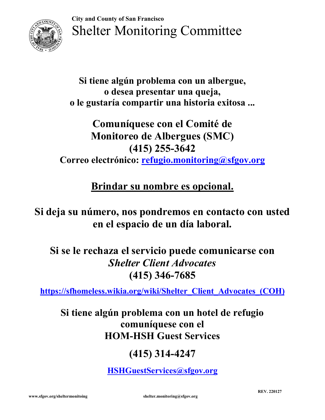City and County of San Francisco<br>Shelter Monitoring Committee Shelter Monitoring Committee



<sup>ty and County of San Francisco</sup><br>helter Monitoring Committee<br>Si tiene algún problema con un albergue,<br>o desea presentar una queja,<br>le gustaría compartir una historia exitosa ... unty of San Francisco<br>er Monitoring Committee<br>e algún problema con un albergue,<br>o desea presentar una queja,<br>aría compartir una historia exitosa ...<br>muníquese con el Comité de City and County of San Francisco<br>
Shelter Monitoring Committee<br>
Si tiene algún problema con un albergue,<br>
o desea presentar una queja,<br>
o le gustaría compartir una historia exitosa ...<br>
Comuníquese con el Comité de<br>
Monito

# <sup>d County of San Francisco</sup><br>
1 dcounty of San Francisco<br>
1 dcer Monitoring Committee<br>
iene algún problema con un albergue,<br>
o desea presentar una queja,<br>
ustaría compartir una historia exitosa ...<br>
Comuníquese con el Comit <sup>d County of San Francisco</sup><br>
elter Monitoring Committee<br>
tiene algún problema con un albergue,<br>
o desea presentar una queja,<br>
ustaría compartir una historia exitosa ...<br>
Comuníquese con el Comité de<br>
Monitoreo de Albergues an Francisco<br>
contitoring Committee<br>
a presentar una queja,<br>
a presentar una queja,<br>
ompartir una historia exitosa ...<br>
quese con el Comité de<br>
eo de Albergues (SMC)<br>
(415) 255-3642<br>
co: <u>refugio.monitoring@sfgov.org</u><br>
gu Shelter Monitoring Committee<br>
Si tiene algún problema con un albergue,<br>
o desea presentar una queja,<br>
o le gustaría compartir una historia exitosa ...<br>
Comuníquese con el Comité de<br>
Monitoreo de Albergues (SMC)<br>
(415) 255iene algún problema con un albergue,<br>
o desea presentar una queja,<br>
ustaría compartir una historia exitosa ...<br>
Comuníquese con el Comité de<br>
Monitoreo de Albergues (SMC)<br>
(415) 255-3642<br>
electrónico: <u>refugio.monitoring@s</u> Si tiene algún problema con un albergue,<br>
o desea presentar una queja,<br>
o le gustaría compartir una historia exitosa ...<br>
Comuníquese con el Comité de<br>
Monitoreo de Albergues (SMC)<br>
(415) 255-3642<br>
Correo electrónico: <u>ref</u> o desea presentar una queja,<br>
staría compartir una historia exitosa ...<br>
Comuníquese con el Comité de<br>
Monitoreo de Albergues (SMC)<br>
(415) 255-3642<br>
electrónico: <u>refugio.monitoring@sfgov.org</u><br>
Brindar su nombre es opciona Comuniquese con el Comité de<br>
Monitoreo de Albergues (SMC)<br>
(415) 255-3642<br>
Correo electrónico: <u>refugio.monitoring@sfgov.org</u><br>
<u>Brindar su nombre es opcional.</u><br>
leja su número, nos pondremos en contacto con usted<br>
en el e mantapartes contra contra contra de albergues (SMC)<br>
(415) 255-3642<br>
rrónico: <u>refugio.monitoring@sfgov.org</u><br>
ndar su nombre es opcional.<br>
co, nos pondremos en contacto con usted<br>
el espacio de un día laboral.<br>
za el servi

# (COH)<br>i0<br>REV. 220127 (415) 255-3642<br>
co: <u>refugio.monitoring@sfgov.org</u><br>
su nombre es opcional.<br>
os pondremos en contacto con usted<br>
pacio de un día laboral.<br>
servicio puede comunicarse con<br>
ter Client Advocates<br>
(415) 346-7685<br>
org/wiki/Shelt **Brindar su nombre es opcional.**<br>
a su número, nos pondremos en contacto con usted<br>
en el espacio de un día laboral.<br>
se le rechaza el servicio puede comunicarse con<br> *Shelter Client Advocates*<br>
(415) 346-7685<br>
//sfhomeles **Example 12 Superolation**<br>
nos pondremos en contacto con usted<br>
spacio de un día laboral.<br>
el servicio puede comunicarse con<br> *elter Client Advocates*<br>
(415) 346-7685<br> **ia.org/wiki/Shelter\_Client\_Advocates\_(COH)**<br>
problema HOM-HSH Guest Services pacio de un día laboral.<br>
servicio puede comunicarse con<br>
ter Client Advocates<br>
(415) 346-7685<br>
org/wiki/Shelter Client Advocates (COH)<br>
roblema con un hotel de refugio<br>
muníquese con el<br>
-HSH Guest Services<br>
(415) 314-424

https://sfhomeless.wikia.org/wiki/Shelter\_Client\_Advocates\_(COH)

# Shelter Client Advocates<br>
(415) 346-7685<br>
https://sfhomeless.wikia.org/wiki/Shelter Client Advocates (COH)<br>
Si tiene algún problema con un hotel de refugio<br>
M-HSH Guest Services<br>
(415) 314-4247<br>
HSHGuestServices@sfgov.org<br>

HSHGuestServices@sfgov.org